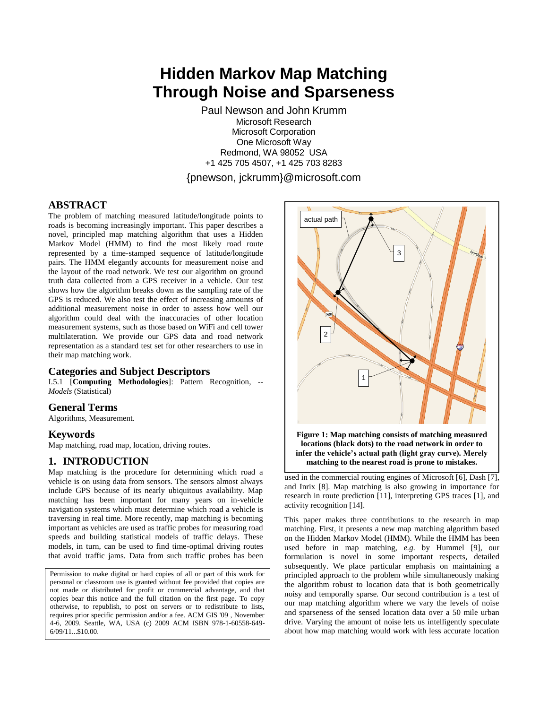# **Hidden Markov Map Matching Through Noise and Sparseness**

Paul Newson and John Krumm Microsoft Research Microsoft Corporation One Microsoft Way Redmond, WA 98052 USA +1 425 705 4507, +1 425 703 8283

{pnewson, jckrumm}@microsoft.com

# **ABSTRACT**

The problem of matching measured latitude/longitude points to roads is becoming increasingly important. This paper describes a novel, principled map matching algorithm that uses a Hidden Markov Model (HMM) to find the most likely road route represented by a time-stamped sequence of latitude/longitude pairs. The HMM elegantly accounts for measurement noise and the layout of the road network. We test our algorithm on ground truth data collected from a GPS receiver in a vehicle. Our test shows how the algorithm breaks down as the sampling rate of the GPS is reduced. We also test the effect of increasing amounts of additional measurement noise in order to assess how well our algorithm could deal with the inaccuracies of other location measurement systems, such as those based on WiFi and cell tower multilateration. We provide our GPS data and road network representation as a standard test set for other researchers to use in their map matching work.

## **Categories and Subject Descriptors**

I.5.1 [**Computing Methodologies**]: Pattern Recognition, -- *Models* (Statistical)

# **General Terms**

Algorithms, Measurement.

## **Keywords**

Map matching, road map, location, driving routes.

## **1. INTRODUCTION**

Map matching is the procedure for determining which road a vehicle is on using data from sensors. The sensors almost always include GPS because of its nearly ubiquitous availability. Map matching has been important for many years on in-vehicle navigation systems which must determine which road a vehicle is traversing in real time. More recently, map matching is becoming important as vehicles are used as traffic probes for measuring road speeds and building statistical models of traffic delays. These models, in turn, can be used to find time-optimal driving routes that avoid traffic jams. Data from such traffic probes has been

Permission to make digital or hard copies of all or part of this work for personal or classroom use is granted without fee provided that copies are not made or distributed for profit or commercial advantage, and that copies bear this notice and the full citation on the first page. To copy otherwise, to republish, to post on servers or to redistribute to lists, requires prior specific permission and/or a fee. ACM GIS '09 , November 4-6, 2009. Seattle, WA, USA (c) 2009 ACM ISBN 978-1-60558-649- 6/09/11...\$10.00.



<span id="page-0-0"></span>used in the commercial routing engines of Microsoft [6], Dash [7], and Inrix [8]. Map matching is also growing in importance for research in route prediction [11], interpreting GPS traces [1], and activity recognition [14].

This paper makes three contributions to the research in map matching. First, it presents a new map matching algorithm based on the Hidden Markov Model (HMM). While the HMM has been used before in map matching, *e.g.* by Hummel [9], our formulation is novel in some important respects, detailed subsequently. We place particular emphasis on maintaining a principled approach to the problem while simultaneously making the algorithm robust to location data that is both geometrically noisy and temporally sparse. Our second contribution is a test of our map matching algorithm where we vary the levels of noise and sparseness of the sensed location data over a 50 mile urban drive. Varying the amount of noise lets us intelligently speculate about how map matching would work with less accurate location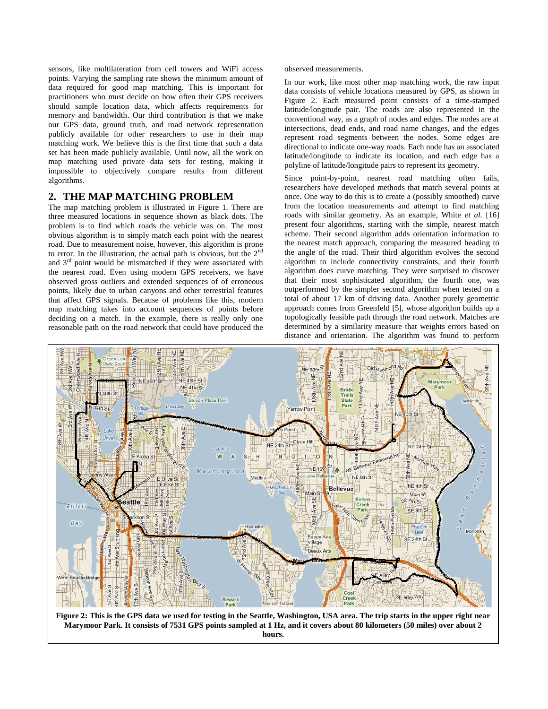sensors, like multilateration from cell towers and WiFi access points. Varying the sampling rate shows the minimum amount of data required for good map matching. This is important for practitioners who must decide on how often their GPS receivers should sample location data, which affects requirements for memory and bandwidth. Our third contribution is that we make our GPS data, ground truth, and road network representation publicly available for other researchers to use in their map matching work. We believe this is the first time that such a data set has been made publicly available. Until now, all the work on map matching used private data sets for testing, making it impossible to objectively compare results from different algorithms.

# **2. THE MAP MATCHING PROBLEM**

The map matching problem is illustrated in [Figure 1.](#page-0-0) There are three measured locations in sequence shown as black dots. The problem is to find which roads the vehicle was on. The most obvious algorithm is to simply match each point with the nearest road. Due to measurement noise, however, this algorithm is prone to error. In the illustration, the actual path is obvious, but the  $2<sup>nd</sup>$ and  $3<sup>rd</sup>$  point would be mismatched if they were associated with the nearest road. Even using modern GPS receivers, we have observed gross outliers and extended sequences of of erroneous points, likely due to urban canyons and other terrestrial features that affect GPS signals. Because of problems like this, modern map matching takes into account sequences of points before deciding on a match. In the example, there is really only one reasonable path on the road network that could have produced the

observed measurements.

In our work, like most other map matching work, the raw input data consists of vehicle locations measured by GPS, as shown in [Figure 2.](#page-1-0) Each measured point consists of a time-stamped latitude/longitude pair. The roads are also represented in the conventional way, as a graph of nodes and edges. The nodes are at intersections, dead ends, and road name changes, and the edges represent road segments between the nodes. Some edges are directional to indicate one-way roads. Each node has an associated latitude/longitude to indicate its location, and each edge has a polyline of latitude/longitude pairs to represent its geometry.

Since point-by-point, nearest road matching often fails, researchers have developed methods that match several points at once. One way to do this is to create a (possibly smoothed) curve from the location measurements and attempt to find matching roads with similar geometry. As an example, White *et al.* [16] present four algorithms, starting with the simple, nearest match scheme. Their second algorithm adds orientation information to the nearest match approach, comparing the measured heading to the angle of the road. Their third algorithm evolves the second algorithm to include connectivity constraints, and their fourth algorithm does curve matching. They were surprised to discover that their most sophisticated algorithm, the fourth one, was outperformed by the simpler second algorithm when tested on a total of about 17 km of driving data. Another purely geometric approach comes from Greenfeld [5], whose algorithm builds up a topologically feasible path through the road network. Matches are determined by a similarity measure that weights errors based on distance and orientation. The algorithm was found to perform



<span id="page-1-0"></span>**Figure 2: This is the GPS data we used for testing in the Seattle, Washington, USA area. The trip starts in the upper right near Marymoor Park. It consists of 7531 GPS points sampled at 1 Hz, and it covers about 80 kilometers (50 miles) over about 2 hours.**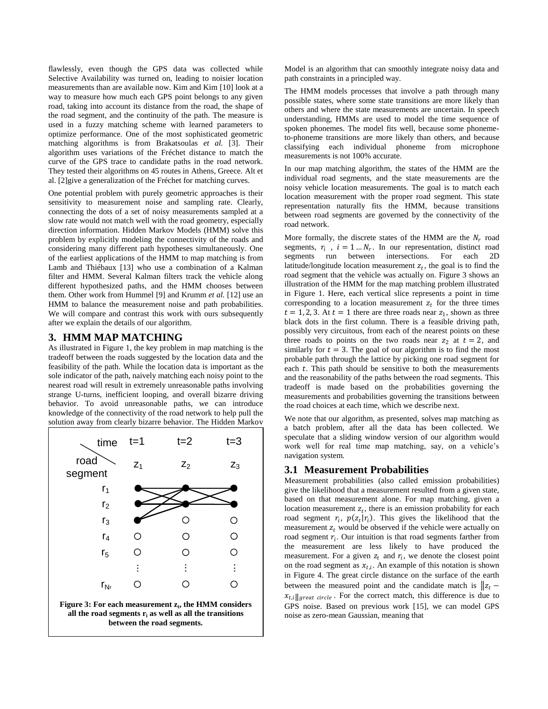flawlessly, even though the GPS data was collected while Selective Availability was turned on, leading to noisier location measurements than are available now. Kim and Kim [10] look at a way to measure how much each GPS point belongs to any given road, taking into account its distance from the road, the shape of the road segment, and the continuity of the path. The measure is used in a fuzzy matching scheme with learned parameters to optimize performance. One of the most sophisticated geometric matching algorithms is from Brakatsoulas *et al.* [3]. Their algorithm uses variations of the Fréchet distance to match the curve of the GPS trace to candidate paths in the road network. They tested their algorithms on 45 routes in Athens, Greece. Alt et al. [2]give a generalization of the Fréchet for matching curves.

One potential problem with purely geometric approaches is their sensitivity to measurement noise and sampling rate. Clearly, connecting the dots of a set of noisy measurements sampled at a slow rate would not match well with the road geometry, especially direction information. Hidden Markov Models (HMM) solve this problem by explicitly modeling the connectivity of the roads and considering many different path hypotheses simultaneously. One of the earliest applications of the HMM to map matching is from Lamb and Thiébaux [13] who use a combination of a Kalman filter and HMM. Several Kalman filters track the vehicle along different hypothesized paths, and the HMM chooses between them. Other work from Hummel [9] and Krumm *et al.* [12] use an HMM to balance the measurement noise and path probabilities. We will compare and contrast this work with ours subsequently after we explain the details of our algorithm.

## **3. HMM MAP MATCHING**

As illustrated in [Figure 1,](#page-0-0) the key problem in map matching is the tradeoff between the roads suggested by the location data and the feasibility of the path. While the location data is important as the sole indicator of the path, naively matching each noisy point to the nearest road will result in extremely unreasonable paths involving strange U-turns, inefficient looping, and overall bizarre driving behavior. To avoid unreasonable paths, we can introduce knowledge of the connectivity of the road network to help pull the solution away from clearly bizarre behavior. The Hidden Markov

<span id="page-2-0"></span>

Model is an algorithm that can smoothly integrate noisy data and path constraints in a principled way.

The HMM models processes that involve a path through many possible states, where some state transitions are more likely than others and where the state measurements are uncertain. In speech understanding, HMMs are used to model the time sequence of spoken phonemes. The model fits well, because some phonemeto-phoneme transitions are more likely than others, and because classifying each individual phoneme from microphone measurements is not 100% accurate.

In our map matching algorithm, the states of the HMM are the individual road segments, and the state measurements are the noisy vehicle location measurements. The goal is to match each location measurement with the proper road segment. This state representation naturally fits the HMM, because transitions between road segments are governed by the connectivity of the road network.

More formally, the discrete states of the HMM are the  $N_r$  road segments,  $r_i$ ,  $i = 1...N_r$ . In our representation, distinct road segments run between intersections. For each 2D latitude/longitude location measurement  $z_t$ , the goal is to find the road segment that the vehicle was actually on. [Figure 3](#page-2-0) shows an illustration of the HMM for the map matching problem illustrated in [Figure 1.](#page-0-0) Here, each vertical slice represents a point in time corresponding to a location measurement  $z_t$  for the three times  $t = 1, 2, 3$ . At  $t = 1$  there are three roads near  $z_1$ , shown as three black dots in the first column. There is a feasible driving path, possibly very circuitous, from each of the nearest points on these three roads to points on the two roads near  $z_2$  at  $t = 2$ , and similarly for  $t = 3$ . The goal of our algorithm is to find the most probable path through the lattice by picking one road segment for each  $t$ . This path should be sensitive to both the measurements and the reasonability of the paths between the road segments. This tradeoff is made based on the probabilities governing the measurements and probabilities governing the transitions between the road choices at each time, which we describe next.

We note that our algorithm, as presented, solves map matching as a batch problem, after all the data has been collected. We speculate that a sliding window version of our algorithm would work well for real time map matching, say, on a vehicle's navigation system.

# **3.1 Measurement Probabilities**

Measurement probabilities (also called emission probabilities) give the likelihood that a measurement resulted from a given state, based on that measurement alone. For map matching, given a location measurement  $z_t$ , there is an emission probability for each road segment  $r_i$ ,  $p(z_t | r_i)$ . This gives the likelihood that the measurement  $z_t$  would be observed if the vehicle were actually on road segment  $r_i$ . Our intuition is that road segments farther from the measurement are less likely to have produced the measurement. For a given  $z_t$  and  $r_i$ , we denote the closest point on the road segment as  $x_{t,i}$ . An example of this notation is shown in [Figure 4.](#page-3-0) The great circle distance on the surface of the earth between the measured point and the candidate match is  $||z_t$  $x_{t,i}$  *a<sub>t,i</sub> a*<sub>*r*</sub> *a*<sub>*t*</sub> *circle*. For the correct match, this difference is due to GPS noise. Based on previous work [15], we can model GPS noise as zero-mean Gaussian, meaning that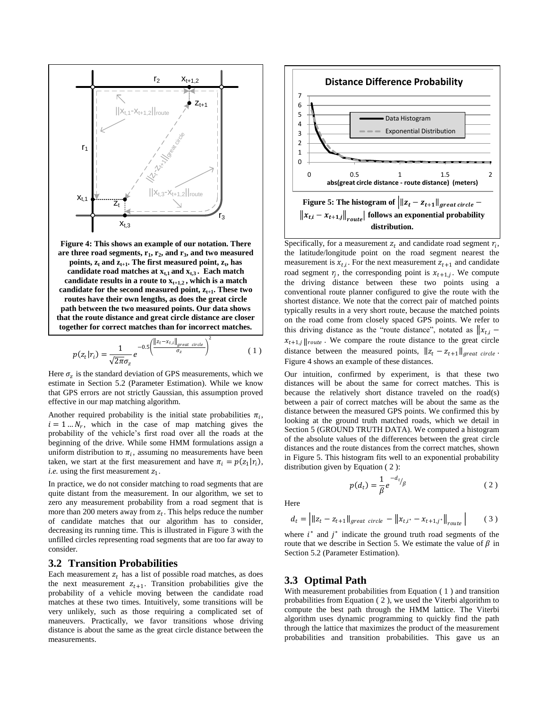

<span id="page-3-0"></span>**Figure 4: This shows an example of our notation. There are three road segments, r<sup>1</sup> , r<sup>2</sup> , and r<sup>3</sup> , and two measured points, z<sup>t</sup> and zt+1. The first measured point, z<sup>t</sup> , has**  candidate road matches at  $x_{t,1}$  and  $x_{t,3}$ . Each match candidate results in a route to  $x_{t+1,2}$ , which is a match **candidate for the second measured point, zt+1. These two routes have their own lengths, as does the great circle path between the two measured points. Our data shows that the route distance and great circle distance are closer together for correct matches than for incorrect matches.**

$$
p(z_t|r_i) = \frac{1}{\sqrt{2\pi}\sigma_z} e^{-0.5\left(\frac{\left\|z_t - x_{t,i}\right\|_{great\ circle}}{\sigma_z}\right)^2}
$$
(1)

Here  $\sigma_z$  is the standard deviation of GPS measurements, which we estimate in Section [5.2](#page-5-0) [\(Parameter Estimation\)](#page-5-0). While we know that GPS errors are not strictly Gaussian, this assumption proved effective in our map matching algorithm.

Another required probability is the initial state probabilities  $\pi_i$ ,  $i = 1 ... N_r$ , which in the case of map matching gives the probability of the vehicle's first road over all the roads at the beginning of the drive. While some HMM formulations assign a uniform distribution to  $\pi_i$ , assuming no measurements have been taken, we start at the first measurement and have  $\pi_i = p(z_1 | r_i)$ , *i.e.* using the first measurement  $z_1$ .

In practice, we do not consider matching to road segments that are quite distant from the measurement. In our algorithm, we set to zero any measurement probability from a road segment that is more than 200 meters away from  $z_t$ . This helps reduce the number of candidate matches that our algorithm has to consider, decreasing its running time. This is illustrated in [Figure 3](#page-2-0) with the unfilled circles representing road segments that are too far away to consider.

#### **3.2 Transition Probabilities**

Each measurement  $z_t$  has a list of possible road matches, as does the next measurement  $z_{t+1}$ . Transition probabilities give the probability of a vehicle moving between the candidate road matches at these two times. Intuitively, some transitions will be very unlikely, such as those requiring a complicated set of maneuvers. Practically, we favor transitions whose driving distance is about the same as the great circle distance between the measurements.



<span id="page-3-1"></span>Specifically, for a measurement  $z_t$  and candidate road segment  $r_i$ , the latitude/longitude point on the road segment nearest the measurement is  $x_{t,i}$ . For the next measurement  $z_{t+1}$  and candidate road segment  $r_j$ , the corresponding point is  $x_{t+1,j}$ . We compute the driving distance between these two points using a conventional route planner configured to give the route with the shortest distance. We note that the correct pair of matched points typically results in a very short route, because the matched points on the road come from closely spaced GPS points. We refer to this driving distance as the "route distance", notated as  $||x_{t,i}$  $x_{t+1,j}$  ||route. We compare the route distance to the great circle distance between the measured points,  $||z_t - z_{t+1}||_{\text{great circle}}$ . [Figure 4](#page-3-0) shows an example of these distances.

<span id="page-3-3"></span>Our intuition, confirmed by experiment, is that these two distances will be about the same for correct matches. This is because the relatively short distance traveled on the road(s) between a pair of correct matches will be about the same as the distance between the measured GPS points. We confirmed this by looking at the ground truth matched roads, which we detail in Section [5](#page-5-1) [\(GROUND TRUTH DATA\)](#page-5-1). We computed a histogram of the absolute values of the differences between the great circle distances and the route distances from the correct matches, shown in [Figure 5.](#page-3-1) This histogram fits well to an exponential probability distribution given by Equation [\( 2](#page-3-2) ):

<span id="page-3-2"></span>
$$
p(d_t) = \frac{1}{\beta} e^{-d_t/\beta}
$$
 (2)

Here

$$
d_{t} = \left| \| z_{t} - z_{t+1} \|_{\text{great circle}} - \| x_{t,i^*} - x_{t+1,i^*} \|_{\text{route}} \right| \tag{3}
$$

where  $i^*$  and  $j^*$  indicate the ground truth road segments of the route that we describe in Section [5.](#page-5-1) We estimate the value of  $\beta$  in Section [5.2](#page-5-0) [\(Parameter Estimation\)](#page-5-0).

#### **3.3 Optimal Path**

With measurement probabilities from Equation (1) and transition probabilities from Equation [\( 2](#page-3-2) ), we used the Viterbi algorithm to compute the best path through the HMM lattice. The Viterbi algorithm uses dynamic programming to quickly find the path through the lattice that maximizes the product of the measurement probabilities and transition probabilities. This gave us an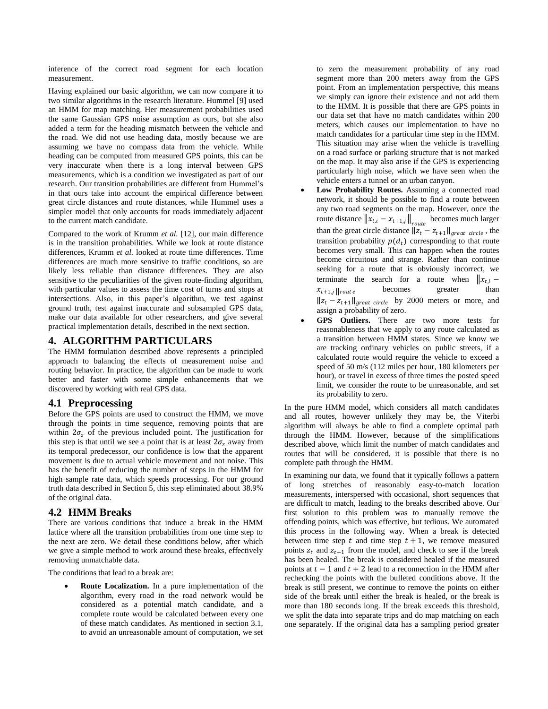inference of the correct road segment for each location measurement.

Having explained our basic algorithm, we can now compare it to two similar algorithms in the research literature. Hummel [9] used an HMM for map matching. Her measurement probabilities used the same Gaussian GPS noise assumption as ours, but she also added a term for the heading mismatch between the vehicle and the road. We did not use heading data, mostly because we are assuming we have no compass data from the vehicle. While heading can be computed from measured GPS points, this can be very inaccurate when there is a long interval between GPS measurements, which is a condition we investigated as part of our research. Our transition probabilities are different from Hummel's in that ours take into account the empirical difference between great circle distances and route distances, while Hummel uses a simpler model that only accounts for roads immediately adjacent to the current match candidate.

Compared to the work of Krumm *et al.* [12], our main difference is in the transition probabilities. While we look at route distance differences, Krumm *et al.* looked at route time differences. Time differences are much more sensitive to traffic conditions, so are likely less reliable than distance differences. They are also sensitive to the peculiarities of the given route-finding algorithm, with particular values to assess the time cost of turns and stops at intersections. Also, in this paper's algorithm, we test against ground truth, test against inaccurate and subsampled GPS data, make our data available for other researchers, and give several practical implementation details, described in the next section.

# **4. ALGORITHM PARTICULARS**

The HMM formulation described above represents a principled approach to balancing the effects of measurement noise and routing behavior. In practice, the algorithm can be made to work better and faster with some simple enhancements that we discovered by working with real GPS data.

# <span id="page-4-0"></span>**4.1 Preprocessing**

Before the GPS points are used to construct the HMM, we move through the points in time sequence, removing points that are within  $2\sigma_z$  of the previous included point. The justification for this step is that until we see a point that is at least  $2\sigma_z$  away from its temporal predecessor, our confidence is low that the apparent movement is due to actual vehicle movement and not noise. This has the benefit of reducing the number of steps in the HMM for high sample rate data, which speeds processing. For our ground truth data described in Sectio[n 5,](#page-5-1) this step eliminated about 38.9% of the original data.

# <span id="page-4-1"></span>**4.2 HMM Breaks**

There are various conditions that induce a break in the HMM lattice where all the transition probabilities from one time step to the next are zero. We detail these conditions below, after which we give a simple method to work around these breaks, effectively removing unmatchable data.

The conditions that lead to a break are:

 **Route Localization.** In a pure implementation of the algorithm, every road in the road network would be considered as a potential match candidate, and a complete route would be calculated between every one of these match candidates. As mentioned in section 3.1, to avoid an unreasonable amount of computation, we set to zero the measurement probability of any road segment more than 200 meters away from the GPS point. From an implementation perspective, this means we simply can ignore their existence and not add them to the HMM. It is possible that there are GPS points in our data set that have no match candidates within 200 meters, which causes our implementation to have no match candidates for a particular time step in the HMM. This situation may arise when the vehicle is travelling on a road surface or parking structure that is not marked on the map. It may also arise if the GPS is experiencing particularly high noise, which we have seen when the vehicle enters a tunnel or an urban canyon.

- **Low Probability Routes.** Assuming a connected road network, it should be possible to find a route between any two road segments on the map. However, once the route distance  $||x_{t,i} - x_{t+1,j}||_{route}$  becomes much larger than the great circle distance  $||z_t - z_{t+1}||_{\text{great circle}}$ , the transition probability  $p(d_t)$  corresponding to that route becomes very small. This can happen when the routes become circuitous and strange. Rather than continue seeking for a route that is obviously incorrect, we terminate the search for a route when  $||x_{t,i}$  $x_{t+1,j}$  ||<sub>rout e</sub> becomes greater than  $||z_t - z_{t+1}||_{\text{great circle}}$  by 2000 meters or more, and assign a probability of zero.
- **GPS Outliers.** There are two more tests for reasonableness that we apply to any route calculated as a transition between HMM states. Since we know we are tracking ordinary vehicles on public streets, if a calculated route would require the vehicle to exceed a speed of 50 m/s (112 miles per hour, 180 kilometers per hour), or travel in excess of three times the posted speed limit, we consider the route to be unreasonable, and set its probability to zero.

In the pure HMM model, which considers all match candidates and all routes, however unlikely they may be, the Viterbi algorithm will always be able to find a complete optimal path through the HMM. However, because of the simplifications described above, which limit the number of match candidates and routes that will be considered, it is possible that there is no complete path through the HMM.

In examining our data, we found that it typically follows a pattern of long stretches of reasonably easy-to-match location measurements, interspersed with occasional, short sequences that are difficult to match, leading to the breaks described above. Our first solution to this problem was to manually remove the offending points, which was effective, but tedious. We automated this process in the following way. When a break is detected between time step  $t$  and time step  $t + 1$ , we remove measured points  $z_t$  and  $z_{t+1}$  from the model, and check to see if the break has been healed. The break is considered healed if the measured points at  $t - 1$  and  $t + 2$  lead to a reconnection in the HMM after rechecking the points with the bulleted conditions above. If the break is still present, we continue to remove the points on either side of the break until either the break is healed, or the break is more than 180 seconds long. If the break exceeds this threshold, we split the data into separate trips and do map matching on each one separately. If the original data has a sampling period greater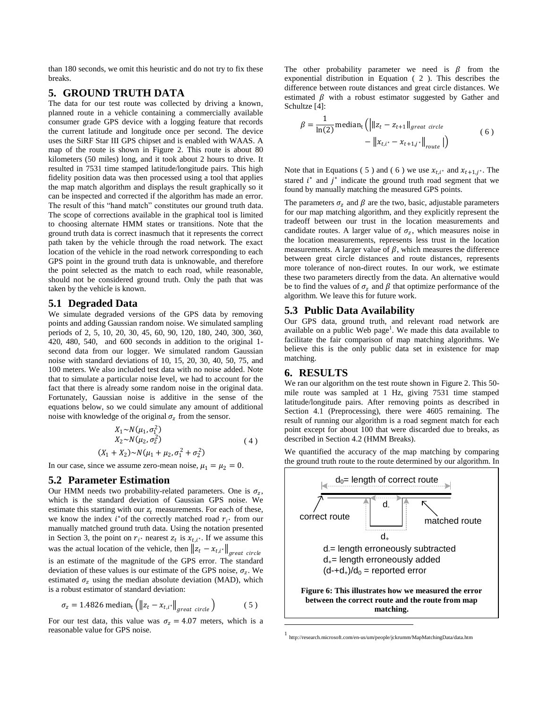than 180 seconds, we omit this heuristic and do not try to fix these breaks.

# <span id="page-5-1"></span>**5. GROUND TRUTH DATA**

The data for our test route was collected by driving a known, planned route in a vehicle containing a commercially available consumer grade GPS device with a logging feature that records the current latitude and longitude once per second. The device uses the SiRF Star III GPS chipset and is enabled with WAAS. A map of the route is shown in [Figure 2.](#page-1-0) This route is about 80 kilometers (50 miles) long, and it took about 2 hours to drive. It resulted in 7531 time stamped latitude/longitude pairs. This high fidelity position data was then processed using a tool that applies the map match algorithm and displays the result graphically so it can be inspected and corrected if the algorithm has made an error. The result of this "hand match" constitutes our ground truth data. The scope of corrections available in the graphical tool is limited to choosing alternate HMM states or transitions. Note that the ground truth data is correct inasmuch that it represents the correct path taken by the vehicle through the road network. The exact location of the vehicle in the road network corresponding to each GPS point in the ground truth data is unknowable, and therefore the point selected as the match to each road, while reasonable, should not be considered ground truth. Only the path that was taken by the vehicle is known.

#### <span id="page-5-5"></span>**5.1 Degraded Data**

We simulate degraded versions of the GPS data by removing points and adding Gaussian random noise. We simulated sampling periods of 2, 5, 10, 20, 30, 45, 60, 90, 120, 180, 240, 300, 360, 420, 480, 540, and 600 seconds in addition to the original 1 second data from our logger. We simulated random Gaussian noise with standard deviations of 10, 15, 20, 30, 40, 50, 75, and 100 meters. We also included test data with no noise added. Note that to simulate a particular noise level, we had to account for the fact that there is already some random noise in the original data. Fortunately, Gaussian noise is additive in the sense of the equations below, so we could simulate any amount of additional noise with knowledge of the original  $\sigma$ <sub>z</sub> from the sensor.

$$
X_1 \sim N(\mu_1, \sigma_1^2) X_2 \sim N(\mu_2, \sigma_2^2) (X_1 + X_2) \sim N(\mu_1 + \mu_2, \sigma_1^2 + \sigma_2^2)
$$
 (4)

In our case, since we assume zero-mean noise,  $\mu_1 = \mu_2 = 0$ .

## <span id="page-5-0"></span>**5.2 Parameter Estimation**

Our HMM needs two probability-related parameters. One is  $\sigma_z$ , which is the standard deviation of Gaussian GPS noise. We estimate this starting with our  $z_t$  measurements. For each of these, we know the index  $i^*$  of the correctly matched road  $r_{i^*}$  from our manually matched ground truth data. Using the notation presented in Section 3, the point on  $r_{i^*}$  nearest  $z_t$  is  $x_{t,i^*}$ . If we assume this was the actual location of the vehicle, then  $||z_t - x_{t,i}||_{\text{great circle}}$ is an estimate of the magnitude of the GPS error. The standard deviation of these values is our estimate of the GPS noise,  $\sigma_z$ . We estimated  $\sigma_z$  using the median absolute deviation (MAD), which is a robust estimator of standard deviation:

$$
\sigma_{z} = 1.4826 \text{ median}_{t} \left( \left\| z_{t} - x_{t,i^{*}} \right\|_{great \ circle} \right) \tag{5}
$$

For our test data, this value was  $\sigma_z = 4.07$  meters, which is a reasonable value for GPS noise.

The other probability parameter we need is  $\beta$  from the exponential distribution in Equation [\( 2](#page-3-2) ). This describes the difference between route distances and great circle distances. We estimated  $\beta$  with a robust estimator suggested by Gather and Schultze [4]:

<span id="page-5-3"></span>
$$
\beta = \frac{1}{\ln(2)} \text{median}_{t} \left( \left| \| z_{t} - z_{t+1} \|_{great \ circle} \right. \right. \\ \left. - \left\| x_{t,i^{*}} - x_{t+1,j^{*}} \right\|_{route} \right) \right) \tag{6}
$$

Note that in Equations (5) and (6) we use  $x_{t,i^*}$  and  $x_{t+1,j^*}$ . The stared  $i^*$  and  $j^*$  indicate the ground truth road segment that we found by manually matching the measured GPS points.

The parameters  $\sigma_z$  and  $\beta$  are the two, basic, adjustable parameters for our map matching algorithm, and they explicitly represent the tradeoff between our trust in the location measurements and candidate routes. A larger value of  $\sigma_z$ , which measures noise in the location measurements, represents less trust in the location measurements. A larger value of  $\beta$ , which measures the difference between great circle distances and route distances, represents more tolerance of non-direct routes. In our work, we estimate these two parameters directly from the data. An alternative would be to find the values of  $\sigma_z$  and  $\beta$  that optimize performance of the algorithm. We leave this for future work.

#### **5.3 Public Data Availability**

Our GPS data, ground truth, and relevant road network are available on a public Web page<sup>1</sup>. We made this data available to facilitate the fair comparison of map matching algorithms. We believe this is the only public data set in existence for map matching.

#### **6. RESULTS**

<span id="page-5-4"></span><span id="page-5-2"></span> $\overline{a}$ 

We ran our algorithm on the test route shown in [Figure 2.](#page-1-0) This 50 mile route was sampled at 1 Hz, giving 7531 time stamped latitude/longitude pairs. After removing points as described in Section [4.1](#page-4-0) [\(Preprocessing\)](#page-4-0), there were 4605 remaining. The result of running our algorithm is a road segment match for each point except for about 100 that were discarded due to breaks, as described in Section [4.2](#page-4-1) [\(HMM Breaks\)](#page-4-1).

We quantified the accuracy of the map matching by comparing the ground truth route to the route determined by our algorithm. In



<sup>1</sup> http://research.microsoft.com/en-us/um/people/jckrumm/MapMatchingData/data.htm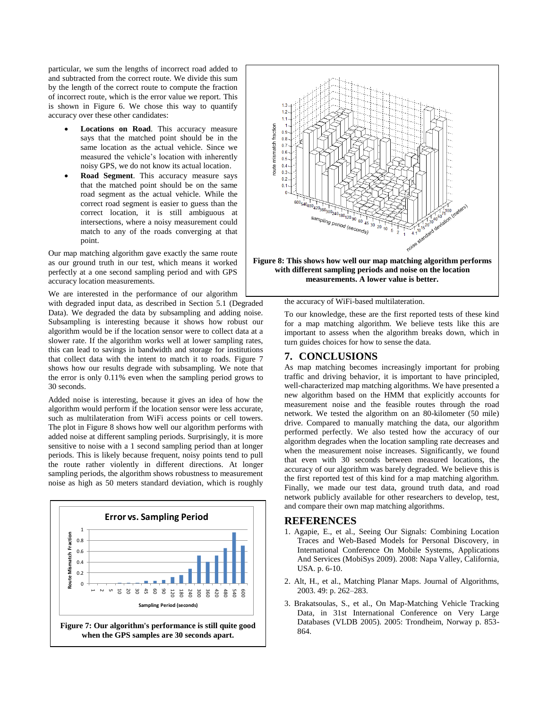particular, we sum the lengths of incorrect road added to and subtracted from the correct route. We divide this sum by the length of the correct route to compute the fraction of incorrect route, which is the error value we report. This is shown in [Figure 6.](#page-5-4) We chose this way to quantify accuracy over these other candidates:

- **Locations on Road**. This accuracy measure says that the matched point should be in the same location as the actual vehicle. Since we measured the vehicle's location with inherently noisy GPS, we do not know its actual location.
- **Road Segment**. This accuracy measure says that the matched point should be on the same road segment as the actual vehicle. While the correct road segment is easier to guess than the correct location, it is still ambiguous at intersections, where a noisy measurement could match to any of the roads converging at that point.

Our map matching algorithm gave exactly the same route as our ground truth in our test, which means it worked perfectly at a one second sampling period and with GPS accuracy location measurements.

We are interested in the performance of our algorithm

with degraded input data, as described in Section [5.1](#page-5-5) [\(Degraded](#page-5-5)  [Data\)](#page-5-5). We degraded the data by subsampling and adding noise. Subsampling is interesting because it shows how robust our algorithm would be if the location sensor were to collect data at a slower rate. If the algorithm works well at lower sampling rates, this can lead to savings in bandwidth and storage for institutions that collect data with the intent to match it to roads. [Figure 7](#page-6-0) shows how our results degrade with subsampling. We note that the error is only 0.11% even when the sampling period grows to 30 seconds.

Added noise is interesting, because it gives an idea of how the algorithm would perform if the location sensor were less accurate, such as multilateration from WiFi access points or cell towers. The plot i[n Figure 8](#page-6-1) shows how well our algorithm performs with added noise at different sampling periods. Surprisingly, it is more sensitive to noise with a 1 second sampling period than at longer periods. This is likely because frequent, noisy points tend to pull the route rather violently in different directions. At longer sampling periods, the algorithm shows robustness to measurement noise as high as 50 meters standard deviation, which is roughly

<span id="page-6-0"></span>



<span id="page-6-1"></span>**Figure 8: This shows how well our map matching algorithm performs with different sampling periods and noise on the location measurements. A lower value is better.**

the accuracy of WiFi-based multilateration.

To our knowledge, these are the first reported tests of these kind for a map matching algorithm. We believe tests like this are important to assess when the algorithm breaks down, which in turn guides choices for how to sense the data.

#### **7. CONCLUSIONS**

As map matching becomes increasingly important for probing traffic and driving behavior, it is important to have principled, well-characterized map matching algorithms. We have presented a new algorithm based on the HMM that explicitly accounts for measurement noise and the feasible routes through the road network. We tested the algorithm on an 80-kilometer (50 mile) drive. Compared to manually matching the data, our algorithm performed perfectly. We also tested how the accuracy of our algorithm degrades when the location sampling rate decreases and when the measurement noise increases. Significantly, we found that even with 30 seconds between measured locations, the accuracy of our algorithm was barely degraded. We believe this is the first reported test of this kind for a map matching algorithm. Finally, we made our test data, ground truth data, and road network publicly available for other researchers to develop, test, and compare their own map matching algorithms.

#### **REFERENCES**

- 1. Agapie, E., et al., Seeing Our Signals: Combining Location Traces and Web-Based Models for Personal Discovery, in International Conference On Mobile Systems, Applications And Services (MobiSys 2009). 2008: Napa Valley, California, USA. p. 6-10.
- 2. Alt, H., et al., Matching Planar Maps. Journal of Algorithms, 2003. 49: p. 262–283.
- 3. Brakatsoulas, S., et al., On Map-Matching Vehicle Tracking Data, in 31st International Conference on Very Large Databases (VLDB 2005). 2005: Trondheim, Norway p. 853- 864.